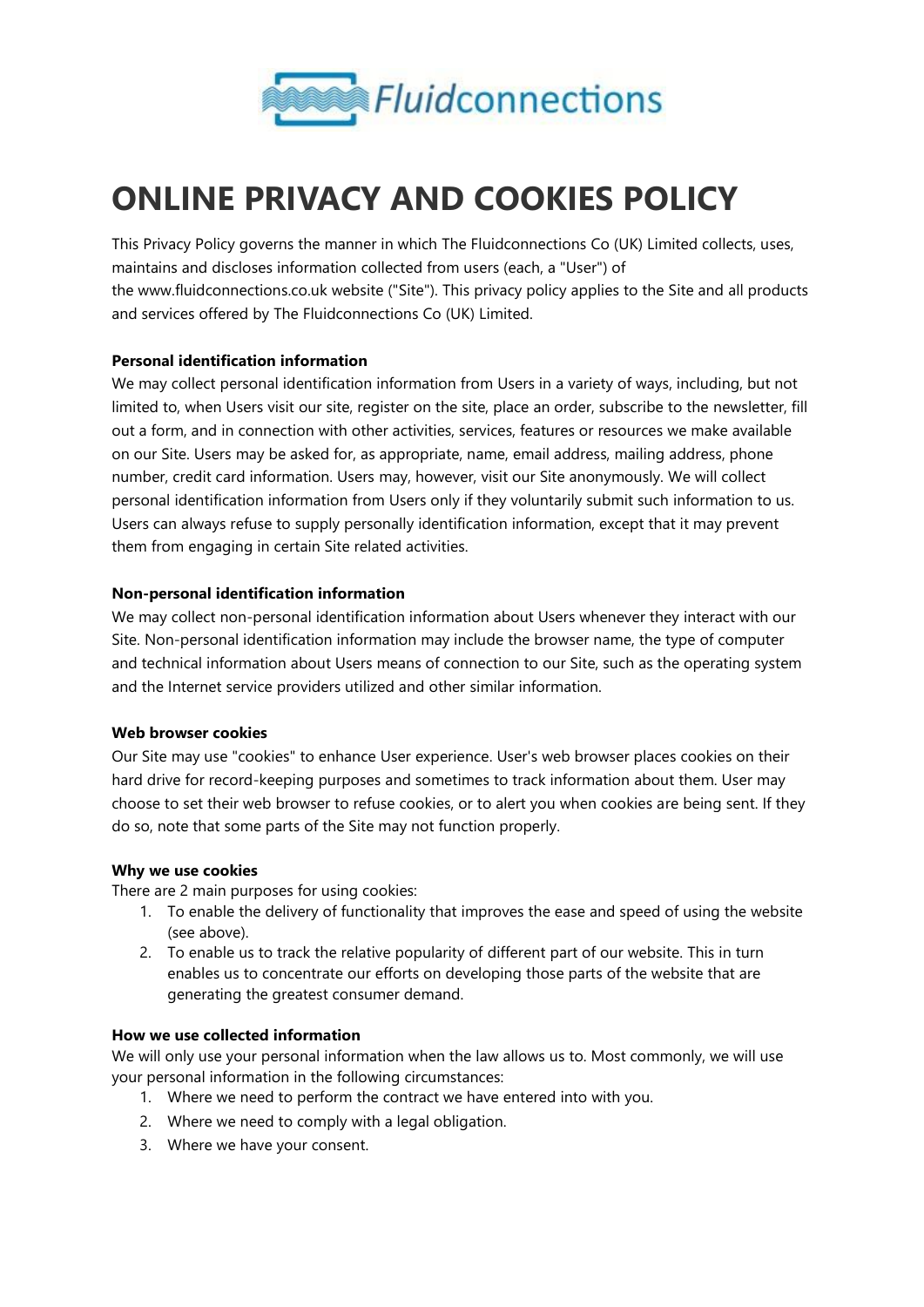

# **ONLINE PRIVACY AND COOKIES POLICY**

This Privacy Policy governs the manner in which The Fluidconnections Co (UK) Limited collects, uses, maintains and discloses information collected from users (each, a "User") of the www.fluidconnections.co.uk website ("Site"). This privacy policy applies to the Site and all products and services offered by The Fluidconnections Co (UK) Limited.

## **Personal identification information**

We may collect personal identification information from Users in a variety of ways, including, but not limited to, when Users visit our site, register on the site, place an order, subscribe to the newsletter, fill out a form, and in connection with other activities, services, features or resources we make available on our Site. Users may be asked for, as appropriate, name, email address, mailing address, phone number, credit card information. Users may, however, visit our Site anonymously. We will collect personal identification information from Users only if they voluntarily submit such information to us. Users can always refuse to supply personally identification information, except that it may prevent them from engaging in certain Site related activities.

## **Non-personal identification information**

We may collect non-personal identification information about Users whenever they interact with our Site. Non-personal identification information may include the browser name, the type of computer and technical information about Users means of connection to our Site, such as the operating system and the Internet service providers utilized and other similar information.

## **Web browser cookies**

Our Site may use "cookies" to enhance User experience. User's web browser places cookies on their hard drive for record-keeping purposes and sometimes to track information about them. User may choose to set their web browser to refuse cookies, or to alert you when cookies are being sent. If they do so, note that some parts of the Site may not function properly.

## **Why we use cookies**

There are 2 main purposes for using cookies:

- 1. To enable the delivery of functionality that improves the ease and speed of using the website (see above).
- 2. To enable us to track the relative popularity of different part of our website. This in turn enables us to concentrate our efforts on developing those parts of the website that are generating the greatest consumer demand.

## **How we use collected information**

We will only use your personal information when the law allows us to. Most commonly, we will use your personal information in the following circumstances:

- 1. Where we need to perform the contract we have entered into with you.
- 2. Where we need to comply with a legal obligation.
- 3. Where we have your consent.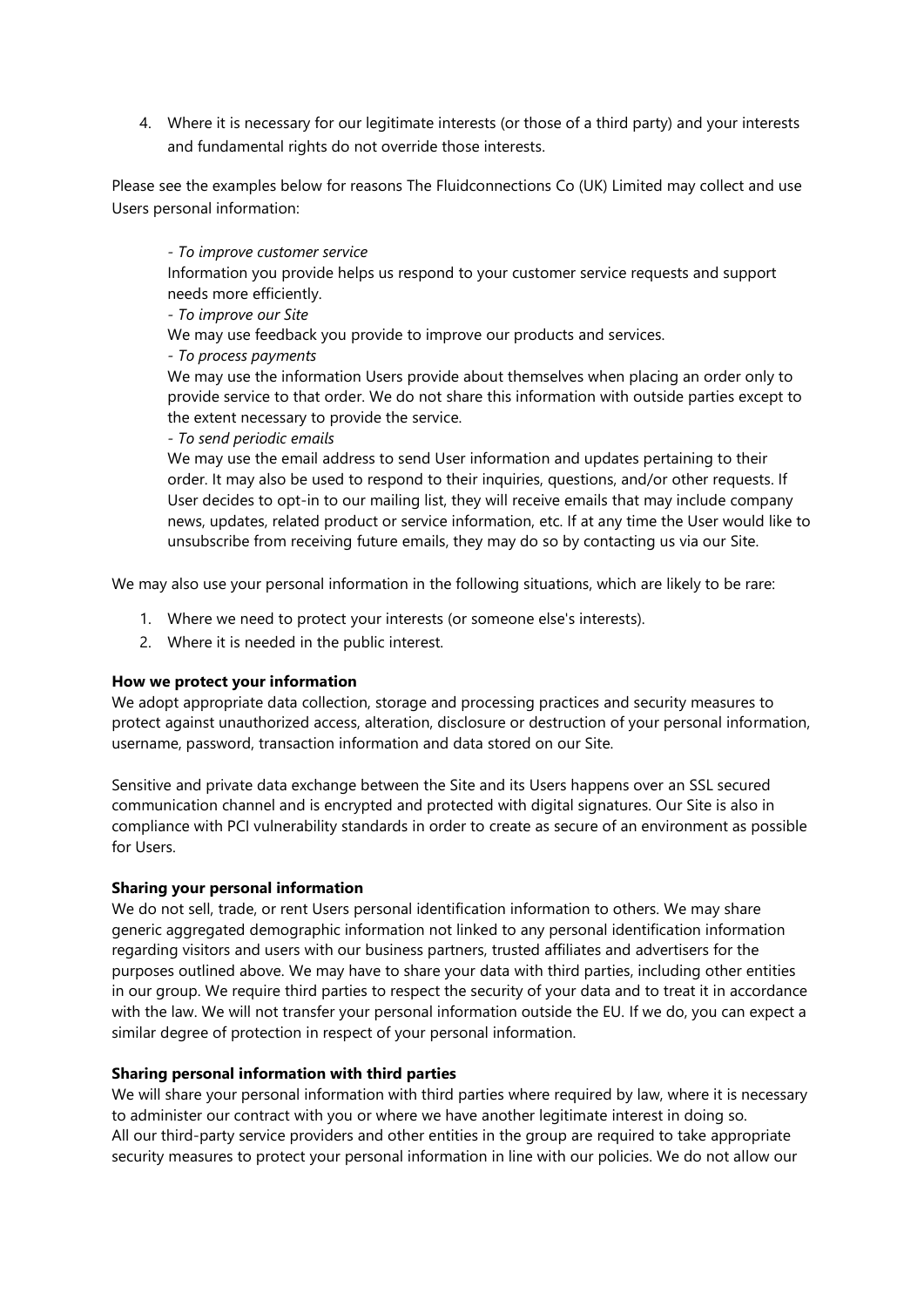4. Where it is necessary for our legitimate interests (or those of a third party) and your interests and fundamental rights do not override those interests.

Please see the examples below for reasons The Fluidconnections Co (UK) Limited may collect and use Users personal information:

*- To improve customer service* Information you provide helps us respond to your customer service requests and support needs more efficiently.

## *- To improve our Site*

We may use feedback you provide to improve our products and services.

## *- To process payments*

We may use the information Users provide about themselves when placing an order only to provide service to that order. We do not share this information with outside parties except to the extent necessary to provide the service.

## *- To send periodic emails*

We may use the email address to send User information and updates pertaining to their order. It may also be used to respond to their inquiries, questions, and/or other requests. If User decides to opt-in to our mailing list, they will receive emails that may include company news, updates, related product or service information, etc. If at any time the User would like to unsubscribe from receiving future emails, they may do so by contacting us via our Site.

We may also use your personal information in the following situations, which are likely to be rare:

- 1. Where we need to protect your interests (or someone else's interests).
- 2. Where it is needed in the public interest.

# **How we protect your information**

We adopt appropriate data collection, storage and processing practices and security measures to protect against unauthorized access, alteration, disclosure or destruction of your personal information, username, password, transaction information and data stored on our Site.

Sensitive and private data exchange between the Site and its Users happens over an SSL secured communication channel and is encrypted and protected with digital signatures. Our Site is also in compliance with PCI vulnerability standards in order to create as secure of an environment as possible for Users.

## **Sharing your personal information**

We do not sell, trade, or rent Users personal identification information to others. We may share generic aggregated demographic information not linked to any personal identification information regarding visitors and users with our business partners, trusted affiliates and advertisers for the purposes outlined above. We may have to share your data with third parties, including other entities in our group. We require third parties to respect the security of your data and to treat it in accordance with the law. We will not transfer your personal information outside the EU. If we do, you can expect a similar degree of protection in respect of your personal information.

# **Sharing personal information with third parties**

We will share your personal information with third parties where required by law, where it is necessary to administer our contract with you or where we have another legitimate interest in doing so. All our third-party service providers and other entities in the group are required to take appropriate security measures to protect your personal information in line with our policies. We do not allow our